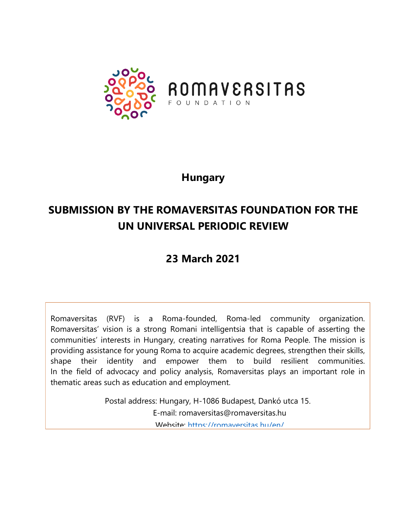

## **Hungary**

# **SUBMISSION BY THE ROMAVERSITAS FOUNDATION FOR THE UN UNIVERSAL PERIODIC REVIEW**

## **23 March 2021**

Romaversitas (RVF) is <sup>a</sup> Roma-founded, Roma-led community organization. Romaversitas' vision is <sup>a</sup> strong Romani intelligentsia that is capable of asserting the communities' interests in Hungary, creating narratives for Roma People. The mission is providing assistance for young Roma to acquire academic degrees, strengthen their skills, shape their identity and empower them to build resilient communities. In the field of advocacy and policy analysis, Romaversitas plays an important role in thematic areas such as education and employment.

> Postal address: Hungary, H-1086 Budapest, Dankó utca 15. E-mail: romaversitas@romaversitas.hu Website: <https://romaversitas.hu/en/>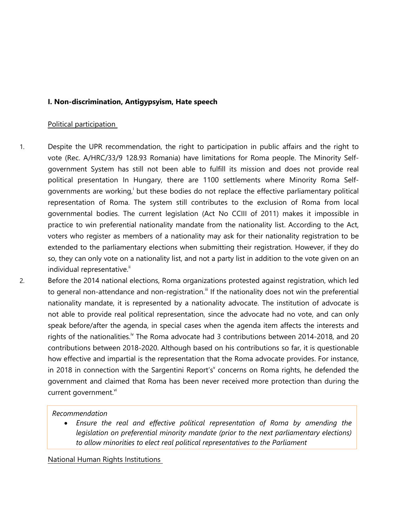#### **I. Non-discrimination, Antigypsyism, Hate speech**

#### Political participation

- 1. Despite the UPR recommendation, the right to participation in public affairs and the right to vote (Rec. A/HRC/33/9 128.93 Romania) have limitations for Roma people. The Minority Selfgovernmen<sup>t</sup> System has still not been able to fulfill its mission and does not provide real political presentation In Hungary, there are 1100 settlements where Minority Roma Selfgovernments are working,<sup>i</sup> but these bodies do not replace the effective parliamentary political representation of Roma. The system still contributes to the exclusion of Roma from local governmental bodies. The current legislation (Act No CCIII of 2011) makes it impossible in practice to win preferential nationality mandate from the nationality list. According to the Act, voters who register as members of <sup>a</sup> nationality may ask for their nationality registration to be extended to the parliamentary elections when submitting their registration. However, if they do so, they can only vote on <sup>a</sup> nationality list, and not <sup>a</sup> party list in addition to the vote given on an individual representative. $^{\text{\tiny{\textsf{ii}}}}$
- 2. Before the 2014 national elections, Roma organizations protested against registration, which led to general non-attendance and non-registration.<sup>III</sup> If the nationality does not win the preferential nationality mandate, it is represented by <sup>a</sup> nationality advocate. The institution of advocate is not able to provide real political representation, since the advocate had no vote, and can only speak before/after the agenda, in special cases when the agenda item affects the interests and rights of the nationalities.<sup>iv</sup> The Roma advocate had 3 contributions between 2014-2018, and 20 contributions between 2018-2020. Although based on his contributions so far, it is questionable how effective and impartial is the representation that the Roma advocate provides. For instance, in 2018 in connection with the Sargentini Report's' concerns on Roma rights, he defended the governmen<sup>t</sup> and claimed that Roma has been never received more protection than during the current government.<sup>vi</sup>

#### *Recommendation*

 *Ensure the real and effective political representation of Roma by amending the legislation on preferential minority mandate (prior to the next parliamentary elections) to allow minorities to elect real political representatives to the Parliament*

National Human Rights Institutions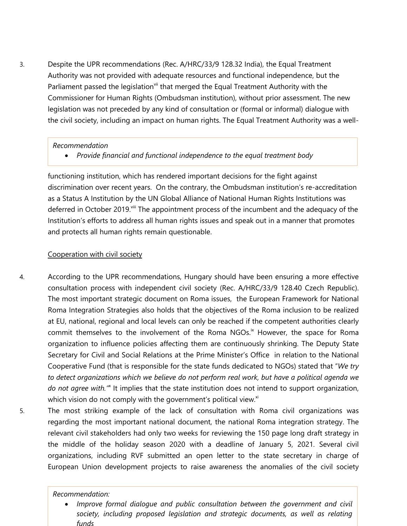3. Despite the UPR recommendations (Rec. A/HRC/33/9 128.32 India), the Equal Treatment Authority was not provided with adequate resources and functional independence, but the Parliament passed the legislation<sup>vii</sup> that merged the Equal Treatment Authority with the Commissioner for Human Rights (Ombudsman institution), without prior assessment. The new legislation was not preceded by any kind of consultation or (formal or informal) dialogue with the civil society, including an impact on human rights. The Equal Treatment Authority was <sup>a</sup> well-

#### *Recommendation*

*Provide financial and functional independence to the equal treatment body*

functioning institution, which has rendered important decisions for the fight against discrimination over recent years. On the contrary, the Ombudsman institution'<sup>s</sup> re-accreditation as <sup>a</sup> Status A Institution by the UN Global Alliance of National Human Rights Institutions was deferred in October 2019.<sup>viii</sup> The appointment process of the incumbent and the adequacy of the Institution'<sup>s</sup> efforts to address all human rights issues and speak out in <sup>a</sup> manner that promotes and protects all human rights remain questionable.

### Cooperation with civil society

- 4. According to the UPR recommendations, Hungary should have been ensuring <sup>a</sup> more effective consultation process with independent civil society (Rec. A/HRC/33/9 128.40 Czech Republic). The most important strategic document on Roma issues, the European Framework for National Roma Integration Strategies also holds that the objectives of the Roma inclusion to be realized at EU, national, regional and local levels can only be reached if the competent authorities clearly commit themselves to the involvement of the Roma NGOs.<sup>ix</sup> However, the space for Roma organization to influence policies affecting them are continuously shrinking. The Deputy State Secretary for Civil and Social Relations at the Prime Minister'<sup>s</sup> Office in relation to the National Cooperative Fund (that is responsible for the state funds dedicated to NGOs) stated that "*We try* to detect organizations which we believe do not perform real work, but have a political agenda we do not agree with." It implies that the state institution does not intend to support organization, which vision do not comply with the government's political view. $^{\mathrm{xi}}$
- 5. The most striking example of the lack of consultation with Roma civil organizations was regarding the most important national document, the national Roma integration strategy. The relevant civil stakeholders had only two weeks for reviewing the 150 page long draft strategy in the middle of the holiday season 2020 with <sup>a</sup> deadline of January 5, 2021. Several civil organizations, including RVF submitted an open letter to the state secretary in charge of European Union development projects to raise awareness the anomalies of the civil society

#### *Recommendation:*

0 *Improve formal dialogue and public consultation between the governmen<sup>t</sup> and civil society, including proposed legislation and strategic documents, as well as relating funds*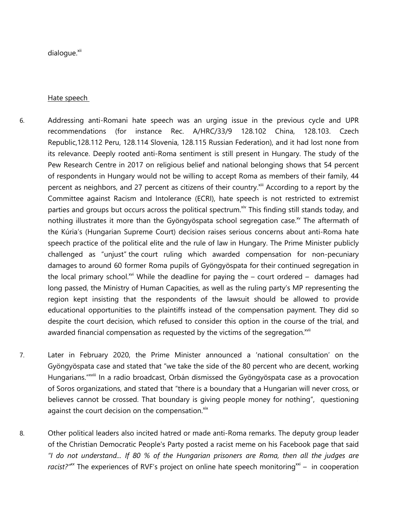dialogue.<sup>×ii</sup>

Hate speech

- 6. Addressing anti-Romani hate speech was an urging issue in the previous cycle and UPR recommendations (for instance Rec. A/HRC/33/9 128.102 China, 128.103. Czech Republic,128.112 Peru, 128.114 Slovenia, 128.115 Russian Federation), and it had lost none from its relevance. Deeply rooted anti-Roma sentiment is still present in Hungary. The study of the Pew Research Centre in 2017 on religious belief and national belonging shows that 54 percent of respondents in Hungary would not be willing to accept Roma as members of their family, 44 percent as neighbors, and 27 percent as citizens of their country.<sup>xiii</sup> According to a report by the Committee against Racism and Intolerance (ECRI), hate speech is not restricted to extremist parties and groups but occurs across the political spectrum.<sup>xiv</sup> This finding still stands today, and nothing illustrates it more than the Gyöngyöspata school segregation case.<sup>w</sup> The aftermath of the Kúria'<sup>s</sup> (Hungarian Supreme Court) decision raises serious concerns about anti-Roma hate speech practice of the political elite and the rule of law in Hungary. The Prime Minister publicly challenged as "unjust" the court ruling which awarded compensation for non-pecuniary damages to around 60 former Roma pupils of Gyöngyöspata for their continued segregation in the local primary school.<sup>xvi</sup> While the deadline for paying the – court ordered – damages had long passed, the Ministry of Human Capacities, as well as the ruling party'<sup>s</sup> MP representing the region kept insisting that the respondents of the lawsuit should be allowed to provide educational opportunities to the plaintiffs instead of the compensation payment. They did so despite the court decision, which refused to consider this option in the course of the trial, and awarded financial compensation as requested by the victims of the segregation. $^{\text{xvii}}$
- 7. Later in February 2020, the Prime Minister announced <sup>a</sup> 'national consultation' on the Gyöngyöspata case and stated that "we take the side of the 80 percent who are decent, working Hungarians." xviii In <sup>a</sup> radio broadcast, Orbán dismissed the Gyöngyöspata case as <sup>a</sup> provocation of Soros organizations, and stated that "there is <sup>a</sup> boundary that <sup>a</sup> Hungarian will never cross, or believes cannot be crossed. That boundary is giving people money for nothing", questioning against the court decision on the compensation.<sup>xix</sup>
- 8. Other political leaders also incited hatred or made anti-Roma remarks. The deputy group leader of the Christian Democratic People's Party posted <sup>a</sup> racist meme on his Facebook page that said "I do not understand... If 80 % of the Hungarian prisoners are Roma, then all the judges are racist?<sup>*"*\*\*</sup> The experiences of RVF's project on online hate speech monitoring<sup>\*\*i</sup> - in cooperation

4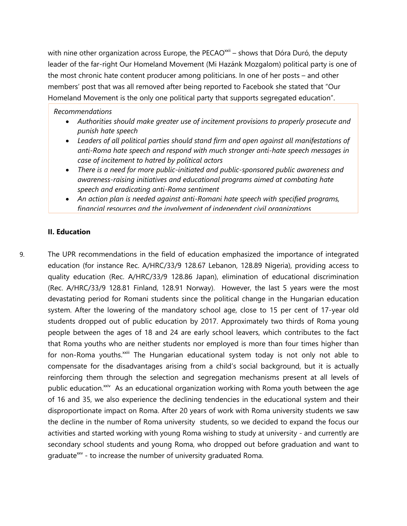with nine other organization across Europe, the PECAO<sup>xxii</sup> – shows that Dóra Duró, the deputy leader of the far-right Our Homeland Movement (Mi Hazánk Mozgalom) political party is one of the most chronic hate content producer among politicians. In one of her posts – and other members' post that was all removed after being reported to Facebook she stated that "Our Homeland Movement is the only one political party that supports segregated education".

#### *Recommendations*

- *Authorities should make greater use of incitement provisions to properly prosecute and punish hate speech*
- *Leaders of all political parties should stand firm and open against all manifestations of anti-Roma hate speech and respond with much stronger anti-hate speech messages in case of incitement to hatred by political actors*
- *There is <sup>a</sup> need for more public-initiated and public-sponsored public awareness and awareness-raising initiatives and educational programs aimed at combating hate speech and eradicating anti-Roma sentiment*
- *An action plan is needed against anti-Romani hate speech with specified programs, financial resources and the involvement of independent civil organizations*

#### **II. Education**

9. The UPR recommendations in the field of education emphasized the importance of integrated education (for instance Rec. A/HRC/33/9 128.67 Lebanon, 128.89 Nigeria), providing access to quality education (Rec. A/HRC/33/9 128.86 Japan), elimination of educational discrimination (Rec. A/HRC/33/9 128.81 Finland, 128.91 Norway). However, the last 5 years were the most devastating period for Romani students since the political change in the Hungarian education system. After the lowering of the mandatory school age, close to 15 per cent of 17-year old students dropped out of public education by 2017. Approximately two thirds of Roma young people between the ages of 18 and 24 are early school leavers, which contributes to the fact that Roma youths who are neither students nor employed is more than four times higher than for non-Roma youths.<sup>xxiii</sup> The Hungarian educational system today is not only not able to compensate for the disadvantages arising from <sup>a</sup> child'<sup>s</sup> social background, but it is actually reinforcing them through the selection and segregation mechanisms present at all levels of public education.<sup>xxiv</sup> As an educational organization working with Roma youth between the age of 16 and 35, we also experience the declining tendencies in the educational system and their disproportionate impact on Roma. After 20 years of work with Roma university students we saw the decline in the number of Roma university students, so we decided to expand the focus our activities and started working with young Roma wishing to study at university - and currently are secondary school students and young Roma, who dropped out before graduation and want to graduate<sup>xxv</sup> - to increase the number of university graduated Roma.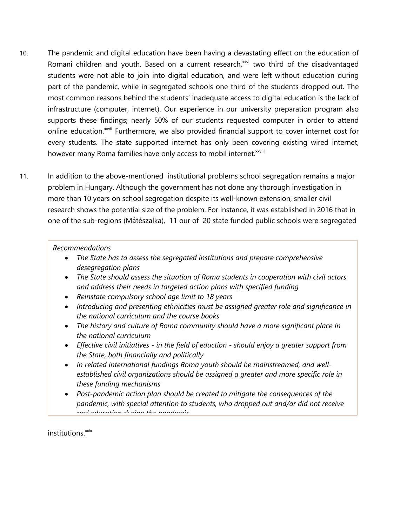- 10. The pandemic and digital education have been having <sup>a</sup> devastating effect on the education of Romani children and youth. Based on a current research,<sup>xxvi</sup> two third of the disadvantaged students were not able to join into digital education, and were left without education during part of the pandemic, while in segregated schools one third of the students dropped out. The most common reasons behind the students' inadequate access to digital education is the lack of infrastructure (computer, internet). Our experience in our university preparation program also supports these findings; nearly 50% of our students requested computer in order to attend online education.<sup>xxvii</sup> Furthermore, we also provided financial support to cover internet cost for every students. The state supported internet has only been covering existing wired internet, however many Roma families have only access to mobil internet.<sup>xxviii</sup>
- 11. In addition to the above-mentioned institutional problems school segregation remains <sup>a</sup> major problem in Hungary. Although the governmen<sup>t</sup> has not done any thorough investigation in more than 10 years on school segregation despite its well-known extension, smaller civil research shows the potential size of the problem. For instance, it was established in 2016 that in one of the sub-regions (Mátészalka), 11 our of 20 state funded public schools were segregated

#### *Recommendations*

- *The State has to assess the segregated institutions and prepare comprehensive desegregation plans*
- *The State should assess the situation of Roma students in cooperation with civil actors and address their needs in targeted action plans with specified funding*
- $\bullet$ *Reinstate compulsory school age limit to 18 years*
- *Introducing and presenting ethnicities must be assigned greater role and significance in the national curriculum and the course books*
- *The history and culture of Roma community should have <sup>a</sup> more significant place In the national curriculum*
- *Effective civil initiatives - in the field of eduction - should enjoy <sup>a</sup> greater suppor<sup>t</sup> from the State, both financially and politically*
- *In related international fundings Roma youth should be mainstreamed, and wellestablished civil organizations should be assigned <sup>a</sup> greater and more specific role in these funding mechanisms*
- *Post-pandemic action plan should be created to mitigate the consequences of the pandemic, with special attention to students, who dropped out and/or did not receive real education during the pandemic*

6

institutions.<sup>xxix</sup>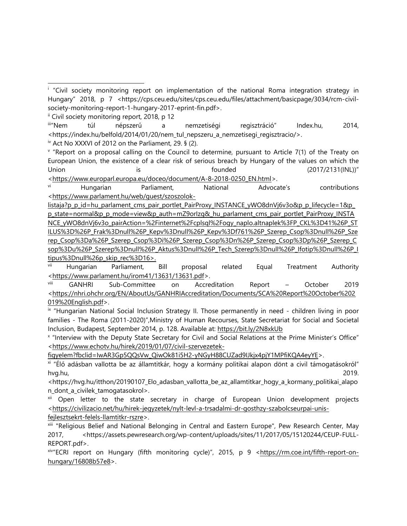ii Civil society monitoring report, 2018, p 12

iii"Nem "Nem túl népszerű <sup>a</sup> nemzetiségi regisztráció" Index.hu, 2014, <https://index.hu/belfold/2014/01/20/nem\_tul\_nepszeru\_a\_nemzetisegi\_regisztracio/>.

iv Act No XXXVI of 2012 on the Parliament, 29. § (2).

v "Report on <sup>a</sup> proposal calling on the Council to determine, pursuant to Article 7(1) of the Treaty on European Union, the existence of <sup>a</sup> clear risk of serious breach by Hungary of the values on which the Union is is founded (2017/2131(INL))" <[https://www.europarl.europa.eu/doceo/document/A-8-2018-0250\\_EN.html](https://www.europarl.europa.eu/doceo/document/A-8-2018-0250_EN.html)>.

vi Hungarian Parliament, National Advocate'<sup>s</sup> contributions <[https://www.parlament.hu/web/guest/szoszolok-](https://www.parlament.hu/web/guest/szoszolok-listaja?p_p_id=hu_parlament_cms_pair_portlet_PairProxy_INSTANCE_yWO8dnVj6v3o&p_p_lifecycle=1&p_p_state=normal&p_p_mode=view&p_auth=mZ9orIzg&_hu_parlament_cms_pair_portlet_PairProxy_INSTANCE_yWO8dnVj6v3o_pairAction=%2Finternet%2Fcplsql%2Fogy_naplo.altnaplek%3FP_CKL%3D41%26P_STILUS%3D%26P_Frak%3Dnull%26P_Kepv%3Dnull%26P_Kepv%3Df761%26P_Szerep_Csop%3Dnull%26P_Szerep_Csop%3Da%26P_Szerep_Csop%3Di%26P_Szerep_Csop%3Dn%26P_Szerep_Csop%3Dp%26P_Szerep_Csop%3Du%26P_Szerep%3Dnull%26P_Aktus%3Dnull%26P_Tech_Szerep%3Dnull%26P_Ifotip%3Dnull%26P_Itipus%3Dnull%26p_skip_rec%3D16)

[listaja?p\\_p\\_id=hu\\_parlament\\_cms\\_pair\\_portlet\\_PairProxy\\_INSTANCE\\_yWO8dnVj6v3o&p\\_p\\_lifecycle=1&p\\_](https://www.parlament.hu/web/guest/szoszolok-listaja?p_p_id=hu_parlament_cms_pair_portlet_PairProxy_INSTANCE_yWO8dnVj6v3o&p_p_lifecycle=1&p_p_state=normal&p_p_mode=view&p_auth=mZ9orIzg&_hu_parlament_cms_pair_portlet_PairProxy_INSTANCE_yWO8dnVj6v3o_pairAction=%2Finternet%2Fcplsql%2Fogy_naplo.altnaplek%3FP_CKL%3D41%26P_STILUS%3D%26P_Frak%3Dnull%26P_Kepv%3Dnull%26P_Kepv%3Df761%26P_Szerep_Csop%3Dnull%26P_Szerep_Csop%3Da%26P_Szerep_Csop%3Di%26P_Szerep_Csop%3Dn%26P_Szerep_Csop%3Dp%26P_Szerep_Csop%3Du%26P_Szerep%3Dnull%26P_Aktus%3Dnull%26P_Tech_Szerep%3Dnull%26P_Ifotip%3Dnull%26P_Itipus%3Dnull%26p_skip_rec%3D16) [p\\_state=normal&p\\_p\\_mode=view&p\\_auth=mZ9orIzg&\\_hu\\_parlament\\_cms\\_pair\\_portlet\\_PairProxy\\_INSTA](https://www.parlament.hu/web/guest/szoszolok-listaja?p_p_id=hu_parlament_cms_pair_portlet_PairProxy_INSTANCE_yWO8dnVj6v3o&p_p_lifecycle=1&p_p_state=normal&p_p_mode=view&p_auth=mZ9orIzg&_hu_parlament_cms_pair_portlet_PairProxy_INSTANCE_yWO8dnVj6v3o_pairAction=%2Finternet%2Fcplsql%2Fogy_naplo.altnaplek%3FP_CKL%3D41%26P_STILUS%3D%26P_Frak%3Dnull%26P_Kepv%3Dnull%26P_Kepv%3Df761%26P_Szerep_Csop%3Dnull%26P_Szerep_Csop%3Da%26P_Szerep_Csop%3Di%26P_Szerep_Csop%3Dn%26P_Szerep_Csop%3Dp%26P_Szerep_Csop%3Du%26P_Szerep%3Dnull%26P_Aktus%3Dnull%26P_Tech_Szerep%3Dnull%26P_Ifotip%3Dnull%26P_Itipus%3Dnull%26p_skip_rec%3D16) [NCE\\_yWO8dnVj6v3o\\_pairAction=%2Finternet%2Fcplsql%2Fogy\\_naplo.altnaplek%3FP\\_CKL%3D41%26P\\_ST](https://www.parlament.hu/web/guest/szoszolok-listaja?p_p_id=hu_parlament_cms_pair_portlet_PairProxy_INSTANCE_yWO8dnVj6v3o&p_p_lifecycle=1&p_p_state=normal&p_p_mode=view&p_auth=mZ9orIzg&_hu_parlament_cms_pair_portlet_PairProxy_INSTANCE_yWO8dnVj6v3o_pairAction=%2Finternet%2Fcplsql%2Fogy_naplo.altnaplek%3FP_CKL%3D41%26P_STILUS%3D%26P_Frak%3Dnull%26P_Kepv%3Dnull%26P_Kepv%3Df761%26P_Szerep_Csop%3Dnull%26P_Szerep_Csop%3Da%26P_Szerep_Csop%3Di%26P_Szerep_Csop%3Dn%26P_Szerep_Csop%3Dp%26P_Szerep_Csop%3Du%26P_Szerep%3Dnull%26P_Aktus%3Dnull%26P_Tech_Szerep%3Dnull%26P_Ifotip%3Dnull%26P_Itipus%3Dnull%26p_skip_rec%3D16) [ILUS%3D%26P\\_Frak%3Dnull%26P\\_Kepv%3Dnull%26P\\_Kepv%3Df761%26P\\_Szerep\\_Csop%3Dnull%26P\\_Sze](https://www.parlament.hu/web/guest/szoszolok-listaja?p_p_id=hu_parlament_cms_pair_portlet_PairProxy_INSTANCE_yWO8dnVj6v3o&p_p_lifecycle=1&p_p_state=normal&p_p_mode=view&p_auth=mZ9orIzg&_hu_parlament_cms_pair_portlet_PairProxy_INSTANCE_yWO8dnVj6v3o_pairAction=%2Finternet%2Fcplsql%2Fogy_naplo.altnaplek%3FP_CKL%3D41%26P_STILUS%3D%26P_Frak%3Dnull%26P_Kepv%3Dnull%26P_Kepv%3Df761%26P_Szerep_Csop%3Dnull%26P_Szerep_Csop%3Da%26P_Szerep_Csop%3Di%26P_Szerep_Csop%3Dn%26P_Szerep_Csop%3Dp%26P_Szerep_Csop%3Du%26P_Szerep%3Dnull%26P_Aktus%3Dnull%26P_Tech_Szerep%3Dnull%26P_Ifotip%3Dnull%26P_Itipus%3Dnull%26p_skip_rec%3D16) [rep\\_Csop%3Da%26P\\_Szerep\\_Csop%3Di%26P\\_Szerep\\_Csop%3Dn%26P\\_Szerep\\_Csop%3Dp%26P\\_Szerep\\_C](https://www.parlament.hu/web/guest/szoszolok-listaja?p_p_id=hu_parlament_cms_pair_portlet_PairProxy_INSTANCE_yWO8dnVj6v3o&p_p_lifecycle=1&p_p_state=normal&p_p_mode=view&p_auth=mZ9orIzg&_hu_parlament_cms_pair_portlet_PairProxy_INSTANCE_yWO8dnVj6v3o_pairAction=%2Finternet%2Fcplsql%2Fogy_naplo.altnaplek%3FP_CKL%3D41%26P_STILUS%3D%26P_Frak%3Dnull%26P_Kepv%3Dnull%26P_Kepv%3Df761%26P_Szerep_Csop%3Dnull%26P_Szerep_Csop%3Da%26P_Szerep_Csop%3Di%26P_Szerep_Csop%3Dn%26P_Szerep_Csop%3Dp%26P_Szerep_Csop%3Du%26P_Szerep%3Dnull%26P_Aktus%3Dnull%26P_Tech_Szerep%3Dnull%26P_Ifotip%3Dnull%26P_Itipus%3Dnull%26p_skip_rec%3D16) [sop%3Du%26P\\_Szerep%3Dnull%26P\\_Aktus%3Dnull%26P\\_Tech\\_Szerep%3Dnull%26P\\_Ifotip%3Dnull%26P\\_I](https://www.parlament.hu/web/guest/szoszolok-listaja?p_p_id=hu_parlament_cms_pair_portlet_PairProxy_INSTANCE_yWO8dnVj6v3o&p_p_lifecycle=1&p_p_state=normal&p_p_mode=view&p_auth=mZ9orIzg&_hu_parlament_cms_pair_portlet_PairProxy_INSTANCE_yWO8dnVj6v3o_pairAction=%2Finternet%2Fcplsql%2Fogy_naplo.altnaplek%3FP_CKL%3D41%26P_STILUS%3D%26P_Frak%3Dnull%26P_Kepv%3Dnull%26P_Kepv%3Df761%26P_Szerep_Csop%3Dnull%26P_Szerep_Csop%3Da%26P_Szerep_Csop%3Di%26P_Szerep_Csop%3Dn%26P_Szerep_Csop%3Dp%26P_Szerep_Csop%3Du%26P_Szerep%3Dnull%26P_Aktus%3Dnull%26P_Tech_Szerep%3Dnull%26P_Ifotip%3Dnull%26P_Itipus%3Dnull%26p_skip_rec%3D16) [tipus%3Dnull%26p\\_skip\\_rec%3D16](https://www.parlament.hu/web/guest/szoszolok-listaja?p_p_id=hu_parlament_cms_pair_portlet_PairProxy_INSTANCE_yWO8dnVj6v3o&p_p_lifecycle=1&p_p_state=normal&p_p_mode=view&p_auth=mZ9orIzg&_hu_parlament_cms_pair_portlet_PairProxy_INSTANCE_yWO8dnVj6v3o_pairAction=%2Finternet%2Fcplsql%2Fogy_naplo.altnaplek%3FP_CKL%3D41%26P_STILUS%3D%26P_Frak%3Dnull%26P_Kepv%3Dnull%26P_Kepv%3Df761%26P_Szerep_Csop%3Dnull%26P_Szerep_Csop%3Da%26P_Szerep_Csop%3Di%26P_Szerep_Csop%3Dn%26P_Szerep_Csop%3Dp%26P_Szerep_Csop%3Du%26P_Szerep%3Dnull%26P_Aktus%3Dnull%26P_Tech_Szerep%3Dnull%26P_Ifotip%3Dnull%26P_Itipus%3Dnull%26p_skip_rec%3D16)>.

vii Hungarian Parliament, Bill proposal related Equal Treatment Authority <<https://www.parlament.hu/irom41/13631/13631.pdf>>.

viii GANHRI Sub-Committee on Accreditation Report – October 2019 <[https://nhri.ohchr.org/EN/AboutUs/GANHRIAccreditation/Documents/SCA%20Report%20October%202](https://nhri.ohchr.org/EN/AboutUs/GANHRIAccreditation/Documents/SCA%20Report%20October%202019%20English.pdf) [019%20English.pdf](https://nhri.ohchr.org/EN/AboutUs/GANHRIAccreditation/Documents/SCA%20Report%20October%202019%20English.pdf)>.

IX "Hungarian National Social Inclusion Strategy II. Those permanently in need - children living in poor families - The Roma (2011-2020)",Ministry of Human Recourses, State Secretariat for Social and Societal Inclusion, Budapest, September 2014, p. 128. Available at: <https://bit.ly/2N8xkUb>

x "Interview with the Deputy State Secretary for Civil and Social Relations at the Prime Minister'<sup>s</sup> Office" <[https://www.echotv.hu/hirek/2019/01/07/civil-szervezetek-](https://www.echotv.hu/hirek/2019/01/07/civil-szervezetek-figyelem?fbclid=IwAR3Gp5QQsVw_QiwOk81i5H2-yNGyH88CUZad9IJkjx4pjY1MPfiKQA4eyYE)

[figyelem?fbclid=IwAR3Gp5QQsVw\\_QiwOk81i5H2-yNGyH88CUZad9IJkjx4pjY1MPfiKQA4eyYE](https://www.echotv.hu/hirek/2019/01/07/civil-szervezetek-figyelem?fbclid=IwAR3Gp5QQsVw_QiwOk81i5H2-yNGyH88CUZad9IJkjx4pjY1MPfiKQA4eyYE)>.

xi "Él<sup>ő</sup> adásban vallotta be az államtitkár, hogy <sup>a</sup> kormány politikai alapon dönt <sup>a</sup> civil támogatásokról" hvg.hu, 2019.

<https://hvg.hu/itthon/20190107\_Elo\_adasban\_vallotta\_be\_az\_allamtitkar\_hogy\_a\_kormany\_politikai\_alapo n dont a civilek tamogatasokrol>.

<sup>xii</sup> Open letter to the state secretary in charge of European Union development projects <https://civilizacio.net/hu/hirek-jegyzetek/nylt-levl-a-trsadalmi-dr-gosthzy-szabolcseurpai-unisfejlesztsekrt-felels-llamtitkr-rszre>.

xiii "Religious Belief and National Belonging in Central and Eastern Europe", Pew Research Center, May 2017, <https://assets.pewresearch.org/wp-content/uploads/sites/11/2017/05/15120244/CEUP-FULL-REPORT.pdf>.

<sup>xiv</sup>"ECRI report on Hungary (fifth monitoring cycle)", 2015, p 9 <<u>https://rm.coe.int/fifth-report-on-</u> [hungary/16808b57e8](https://rm.coe.int/fifth-report-on-hungary/16808b57e8)>.

<sup>&</sup>lt;sup>i</sup> "Civil society monitoring report on implementation of the national Roma integration strategy in Hungary" 2018, p 7 <https://cps.ceu.edu/sites/cps.ceu.edu/files/attachment/basicpage/3034/rcm-civilsociety-monitoring-report-1-hungary-2017-eprint-fin.pdf>.